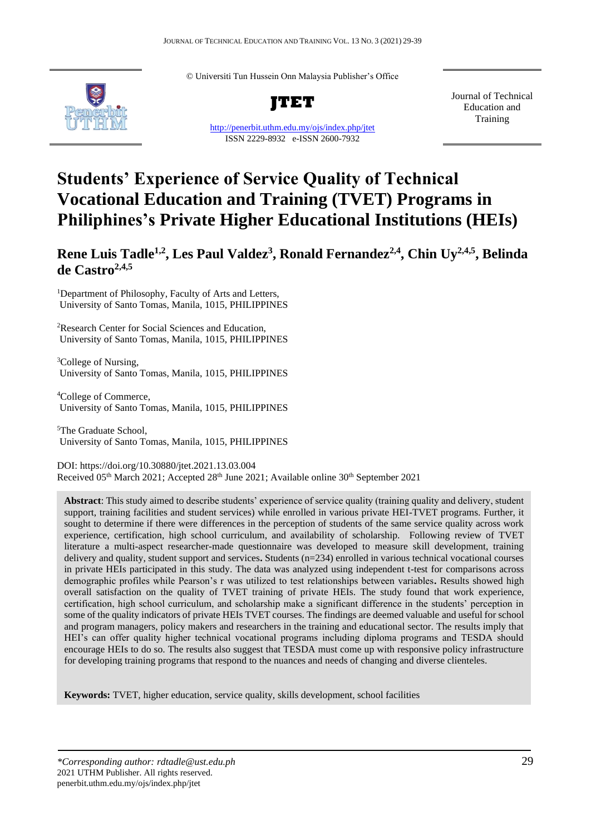© Universiti Tun Hussein Onn Malaysia Publisher's Office



**JTET**

<http://penerbit.uthm.edu.my/ojs/index.php/jtet> ISSN 2229-8932 e-ISSN 2600-7932

Journal of Technical Education and Training

# **Students' Experience of Service Quality of Technical Vocational Education and Training (TVET) Programs in Philiphines's Private Higher Educational Institutions (HEIs)**

**Rene Luis Tadle1,2, Les Paul Valdez<sup>3</sup> , Ronald Fernandez2,4, Chin Uy2,4,5 , Belinda de Castro2,4,5**

<sup>1</sup>Department of Philosophy, Faculty of Arts and Letters, University of Santo Tomas, Manila, 1015, PHILIPPINES

<sup>2</sup>Research Center for Social Sciences and Education, University of Santo Tomas, Manila, 1015, PHILIPPINES

<sup>3</sup>College of Nursing, University of Santo Tomas, Manila, 1015, PHILIPPINES

<sup>4</sup>College of Commerce, University of Santo Tomas, Manila, 1015, PHILIPPINES

<sup>5</sup>The Graduate School, University of Santo Tomas, Manila, 1015, PHILIPPINES

DOI: https://doi.org/10.30880/jtet.2021.13.03.004 Received 05<sup>th</sup> March 2021; Accepted 28<sup>th</sup> June 2021; Available online 30<sup>th</sup> September 2021

**Abstract**: This study aimed to describe students' experience of service quality (training quality and delivery, student support, training facilities and student services) while enrolled in various private HEI-TVET programs. Further, it sought to determine if there were differences in the perception of students of the same service quality across work experience, certification, high school curriculum, and availability of scholarship.Following review of TVET literature a multi-aspect researcher-made questionnaire was developed to measure skill development, training delivery and quality, student support and services**.** Students (n=234) enrolled in various technical vocational courses in private HEIs participated in this study. The data was analyzed using independent t-test for comparisons across demographic profiles while Pearson's r was utilized to test relationships between variables**.** Results showed high overall satisfaction on the quality of TVET training of private HEIs. The study found that work experience, certification, high school curriculum, and scholarship make a significant difference in the students' perception in some of the quality indicators of private HEIs TVET courses. The findings are deemed valuable and useful for school and program managers, policy makers and researchers in the training and educational sector. The results imply that HEI's can offer quality higher technical vocational programs including diploma programs and TESDA should encourage HEIs to do so. The results also suggest that TESDA must come up with responsive policy infrastructure for developing training programs that respond to the nuances and needs of changing and diverse clienteles.

**Keywords:** TVET, higher education, service quality, skills development, school facilities

*\*Corresponding author: rdtadle@ust.edu.ph* 29 2021 UTHM Publisher. All rights reserved. penerbit.uthm.edu.my/ojs/index.php/jtet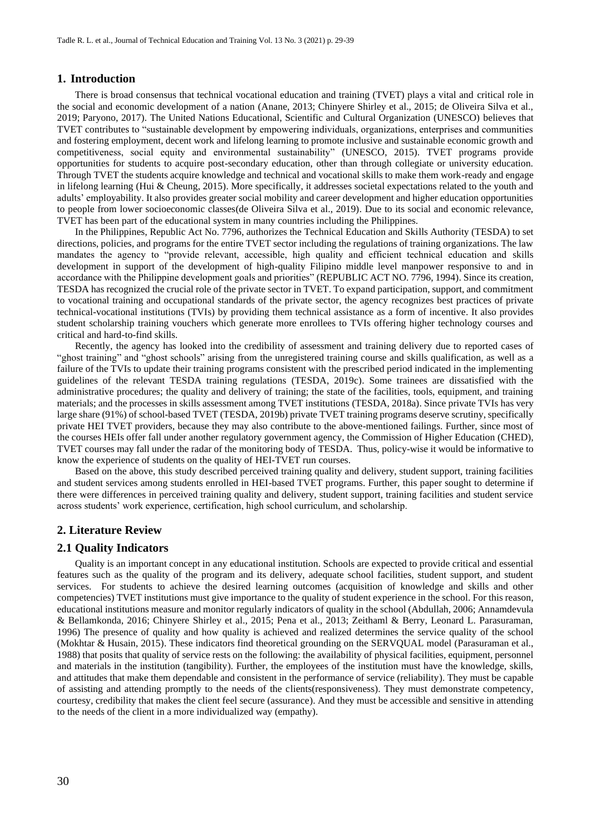## **1. Introduction**

There is broad consensus that technical vocational education and training (TVET) plays a vital and critical role in the social and economic development of a nation (Anane, 2013; Chinyere Shirley et al., 2015; de Oliveira Silva et al., 2019; Paryono, 2017). The United Nations Educational, Scientific and Cultural Organization (UNESCO) believes that TVET contributes to "sustainable development by empowering individuals, organizations, enterprises and communities and fostering employment, decent work and lifelong learning to promote inclusive and sustainable economic growth and competitiveness, social equity and environmental sustainability" (UNESCO, 2015). TVET programs provide opportunities for students to acquire post-secondary education, other than through collegiate or university education. Through TVET the students acquire knowledge and technical and vocational skills to make them work-ready and engage in lifelong learning (Hui & Cheung, 2015). More specifically, it addresses societal expectations related to the youth and adults' employability. It also provides greater social mobility and career development and higher education opportunities to people from lower socioeconomic classes(de Oliveira Silva et al., 2019). Due to its social and economic relevance, TVET has been part of the educational system in many countries including the Philippines.

In the Philippines, Republic Act No. 7796, authorizes the Technical Education and Skills Authority (TESDA) to set directions, policies, and programs for the entire TVET sector including the regulations of training organizations. The law mandates the agency to "provide relevant, accessible, high quality and efficient technical education and skills development in support of the development of high-quality Filipino middle level manpower responsive to and in accordance with the Philippine development goals and priorities" (REPUBLIC ACT NO. 7796, 1994). Since its creation, TESDA has recognized the crucial role of the private sector in TVET. To expand participation, support, and commitment to vocational training and occupational standards of the private sector, the agency recognizes best practices of private technical-vocational institutions (TVIs) by providing them technical assistance as a form of incentive. It also provides student scholarship training vouchers which generate more enrollees to TVIs offering higher technology courses and critical and hard-to-find skills.

Recently, the agency has looked into the credibility of assessment and training delivery due to reported cases of "ghost training" and "ghost schools" arising from the unregistered training course and skills qualification, as well as a failure of the TVIs to update their training programs consistent with the prescribed period indicated in the implementing guidelines of the relevant TESDA training regulations (TESDA, 2019c). Some trainees are dissatisfied with the administrative procedures; the quality and delivery of training; the state of the facilities, tools, equipment, and training materials; and the processes in skills assessment among TVET institutions (TESDA, 2018a). Since private TVIs has very large share (91%) of school-based TVET (TESDA, 2019b) private TVET training programs deserve scrutiny, specifically private HEI TVET providers, because they may also contribute to the above-mentioned failings. Further, since most of the courses HEIs offer fall under another regulatory government agency, the Commission of Higher Education (CHED), TVET courses may fall under the radar of the monitoring body of TESDA. Thus, policy-wise it would be informative to know the experience of students on the quality of HEI-TVET run courses.

Based on the above, this study described perceived training quality and delivery, student support, training facilities and student services among students enrolled in HEI-based TVET programs. Further, this paper sought to determine if there were differences in perceived training quality and delivery, student support, training facilities and student service across students' work experience, certification, high school curriculum, and scholarship.

# **2. Literature Review**

## **2.1 Quality Indicators**

Quality is an important concept in any educational institution. Schools are expected to provide critical and essential features such as the quality of the program and its delivery, adequate school facilities, student support, and student services. For students to achieve the desired learning outcomes (acquisition of knowledge and skills and other competencies) TVET institutions must give importance to the quality of student experience in the school. For this reason, educational institutions measure and monitor regularly indicators of quality in the school (Abdullah, 2006; Annamdevula & Bellamkonda, 2016; Chinyere Shirley et al., 2015; Pena et al., 2013; Zeithaml & Berry, Leonard L. Parasuraman, 1996) The presence of quality and how quality is achieved and realized determines the service quality of the school (Mokhtar & Husain, 2015). These indicators find theoretical grounding on the SERVQUAL model (Parasuraman et al., 1988) that posits that quality of service rests on the following: the availability of physical facilities, equipment, personnel and materials in the institution (tangibility). Further, the employees of the institution must have the knowledge, skills, and attitudes that make them dependable and consistent in the performance of service (reliability). They must be capable of assisting and attending promptly to the needs of the clients(responsiveness). They must demonstrate competency, courtesy, credibility that makes the client feel secure (assurance). And they must be accessible and sensitive in attending to the needs of the client in a more individualized way (empathy).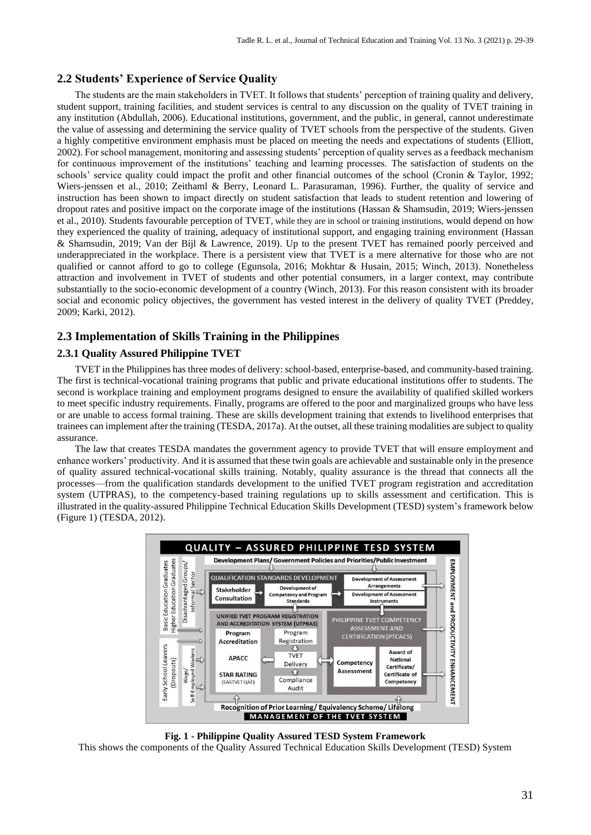# **2.2 Students' Experience of Service Quality**

The students are the main stakeholders in TVET. It follows that students' perception of training quality and delivery, student support, training facilities, and student services is central to any discussion on the quality of TVET training in any institution (Abdullah, 2006). Educational institutions, government, and the public, in general, cannot underestimate the value of assessing and determining the service quality of TVET schools from the perspective of the students. Given a highly competitive environment emphasis must be placed on meeting the needs and expectations of students (Elliott, 2002). For school management, monitoring and assessing students' perception of quality serves as a feedback mechanism for continuous improvement of the institutions' teaching and learning processes. The satisfaction of students on the schools' service quality could impact the profit and other financial outcomes of the school (Cronin & Taylor, 1992; Wiers-jenssen et al., 2010; Zeithaml & Berry, Leonard L. Parasuraman, 1996). Further, the quality of service and instruction has been shown to impact directly on student satisfaction that leads to student retention and lowering of dropout rates and positive impact on the corporate image of the institutions (Hassan & Shamsudin, 2019; Wiers-jenssen et al., 2010). Students favourable perception of TVET, while they are in school or training institutions, would depend on how they experienced the quality of training, adequacy of institutional support, and engaging training environment (Hassan & Shamsudin, 2019; Van der Bijl & Lawrence, 2019). Up to the present TVET has remained poorly perceived and underappreciated in the workplace. There is a persistent view that TVET is a mere alternative for those who are not qualified or cannot afford to go to college (Egunsola, 2016; Mokhtar & Husain, 2015; Winch, 2013). Nonetheless attraction and involvement in TVET of students and other potential consumers, in a larger context, may contribute substantially to the socio-economic development of a country (Winch, 2013). For this reason consistent with its broader social and economic policy objectives, the government has vested interest in the delivery of quality TVET (Preddey, 2009; Karki, 2012).

# **2.3 Implementation of Skills Training in the Philippines**

## **2.3.1 Quality Assured Philippine TVET**

TVET in the Philippines has three modes of delivery: school-based, enterprise-based, and community-based training. The first is technical-vocational training programs that public and private educational institutions offer to students. The second is workplace training and employment programs designed to ensure the availability of qualified skilled workers to meet specific industry requirements. Finally, programs are offered to the poor and marginalized groups who have less or are unable to access formal training. These are skills development training that extends to livelihood enterprises that trainees can implement after the training (TESDA, 2017a). At the outset, all these training modalities are subject to quality assurance.

The law that creates TESDA mandates the government agency to provide TVET that will ensure employment and enhance workers' productivity. And it is assumed that these twin goals are achievable and sustainable only in the presence of quality assured technical-vocational skills training. Notably, quality assurance is the thread that connects all the processes—from the qualification standards development to the unified TVET program registration and accreditation system (UTPRAS), to the competency-based training regulations up to skills assessment and certification. This is illustrated in the quality-assured Philippine Technical Education Skills Development (TESD) system's framework below (Figure 1) (TESDA, 2012).



**Fig. 1 - Philippine Quality Assured TESD System Framework**

This shows the components of the Quality Assured Technical Education Skills Development (TESD) System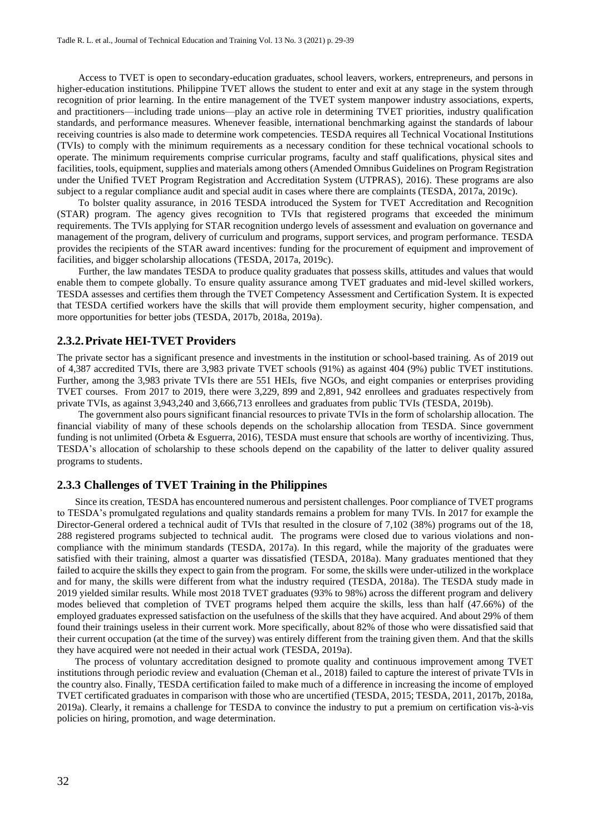Access to TVET is open to secondary-education graduates, school leavers, workers, entrepreneurs, and persons in higher-education institutions. Philippine TVET allows the student to enter and exit at any stage in the system through recognition of prior learning. In the entire management of the TVET system manpower industry associations, experts, and practitioners—including trade unions—play an active role in determining TVET priorities, industry qualification standards, and performance measures. Whenever feasible, international benchmarking against the standards of labour receiving countries is also made to determine work competencies. TESDA requires all Technical Vocational Institutions (TVIs) to comply with the minimum requirements as a necessary condition for these technical vocational schools to operate. The minimum requirements comprise curricular programs, faculty and staff qualifications, physical sites and facilities, tools, equipment, supplies and materials among others (Amended Omnibus Guidelines on Program Registration under the Unified TVET Program Registration and Accreditation System (UTPRAS), 2016). These programs are also subject to a regular compliance audit and special audit in cases where there are complaints (TESDA, 2017a, 2019c).

To bolster quality assurance, in 2016 TESDA introduced the System for TVET Accreditation and Recognition (STAR) program. The agency gives recognition to TVIs that registered programs that exceeded the minimum requirements. The TVIs applying for STAR recognition undergo levels of assessment and evaluation on governance and management of the program, delivery of curriculum and programs, support services, and program performance. TESDA provides the recipients of the STAR award incentives: funding for the procurement of equipment and improvement of facilities, and bigger scholarship allocations (TESDA, 2017a, 2019c).

Further, the law mandates TESDA to produce quality graduates that possess skills, attitudes and values that would enable them to compete globally. To ensure quality assurance among TVET graduates and mid-level skilled workers, TESDA assesses and certifies them through the TVET Competency Assessment and Certification System. It is expected that TESDA certified workers have the skills that will provide them employment security, higher compensation, and more opportunities for better jobs (TESDA, 2017b, 2018a, 2019a).

## **2.3.2.Private HEI-TVET Providers**

The private sector has a significant presence and investments in the institution or school-based training. As of 2019 out of 4,387 accredited TVIs, there are 3,983 private TVET schools (91%) as against 404 (9%) public TVET institutions. Further, among the 3,983 private TVIs there are 551 HEIs, five NGOs, and eight companies or enterprises providing TVET courses. From 2017 to 2019, there were 3,229, 899 and 2,891, 942 enrollees and graduates respectively from private TVIs, as against 3,943,240 and 3,666,713 enrollees and graduates from public TVIs (TESDA, 2019b).

The government also pours significant financial resources to private TVIs in the form of scholarship allocation. The financial viability of many of these schools depends on the scholarship allocation from TESDA. Since government funding is not unlimited (Orbeta & Esguerra, 2016), TESDA must ensure that schools are worthy of incentivizing. Thus, TESDA's allocation of scholarship to these schools depend on the capability of the latter to deliver quality assured programs to students.

# **2.3.3 Challenges of TVET Training in the Philippines**

Since its creation, TESDA has encountered numerous and persistent challenges. Poor compliance of TVET programs to TESDA's promulgated regulations and quality standards remains a problem for many TVIs. In 2017 for example the Director-General ordered a technical audit of TVIs that resulted in the closure of 7,102 (38%) programs out of the 18, 288 registered programs subjected to technical audit. The programs were closed due to various violations and noncompliance with the minimum standards (TESDA, 2017a). In this regard, while the majority of the graduates were satisfied with their training, almost a quarter was dissatisfied (TESDA, 2018a). Many graduates mentioned that they failed to acquire the skills they expect to gain from the program. For some, the skills were under-utilized in the workplace and for many, the skills were different from what the industry required (TESDA, 2018a). The TESDA study made in 2019 yielded similar results. While most 2018 TVET graduates (93% to 98%) across the different program and delivery modes believed that completion of TVET programs helped them acquire the skills, less than half (47.66%) of the employed graduates expressed satisfaction on the usefulness of the skills that they have acquired. And about 29% of them found their trainings useless in their current work. More specifically, about 82% of those who were dissatisfied said that their current occupation (at the time of the survey) was entirely different from the training given them. And that the skills they have acquired were not needed in their actual work (TESDA, 2019a).

The process of voluntary accreditation designed to promote quality and continuous improvement among TVET institutions through periodic review and evaluation (Cheman et al., 2018) failed to capture the interest of private TVIs in the country also. Finally, TESDA certification failed to make much of a difference in increasing the income of employed TVET certificated graduates in comparison with those who are uncertified (TESDA, 2015; TESDA, 2011, 2017b, 2018a, 2019a). Clearly, it remains a challenge for TESDA to convince the industry to put a premium on certification vis-à-vis policies on hiring, promotion, and wage determination.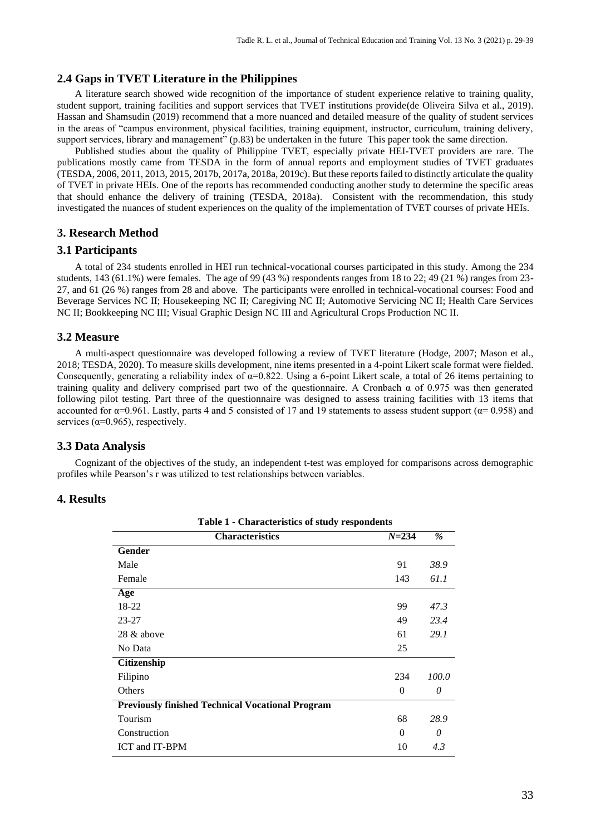# **2.4 Gaps in TVET Literature in the Philippines**

A literature search showed wide recognition of the importance of student experience relative to training quality, student support, training facilities and support services that TVET institutions provide(de Oliveira Silva et al., 2019). Hassan and Shamsudin (2019) recommend that a more nuanced and detailed measure of the quality of student services in the areas of "campus environment, physical facilities, training equipment, instructor, curriculum, training delivery, support services, library and management" (p.83) be undertaken in the future This paper took the same direction.

Published studies about the quality of Philippine TVET, especially private HEI-TVET providers are rare. The publications mostly came from TESDA in the form of annual reports and employment studies of TVET graduates  $(TESDA, 2006, 2011, 2013, 2015, 2017b, 2017a, 2018a, 2019c)$ . But these reports failed to distinctly articulate the quality of TVET in private HEIs. One of the reports has recommended conducting another study to determine the specific areas that should enhance the delivery of training (TESDA, 2018a). Consistent with the recommendation, this study investigated the nuances of student experiences on the quality of the implementation of TVET courses of private HEIs.

# **3. Research Method**

# **3.1 Participants**

A total of 234 students enrolled in HEI run technical-vocational courses participated in this study. Among the 234 students, 143 (61.1%) were females. The age of 99 (43 %) respondents ranges from 18 to 22; 49 (21 %) ranges from 23-27, and 61 (26 %) ranges from 28 and above. The participants were enrolled in technical-vocational courses: Food and Beverage Services NC II; Housekeeping NC II; Caregiving NC II; Automotive Servicing NC II; Health Care Services NC II; Bookkeeping NC III; Visual Graphic Design NC III and Agricultural Crops Production NC II.

## **3.2 Measure**

A multi-aspect questionnaire was developed following a review of TVET literature (Hodge, 2007; Mason et al., 2018; TESDA, 2020). To measure skills development, nine items presented in a 4-point Likert scale format were fielded. Consequently, generating a reliability index of  $\alpha=0.822$ . Using a 6-point Likert scale, a total of 26 items pertaining to training quality and delivery comprised part two of the questionnaire. A Cronbach  $\alpha$  of 0.975 was then generated following pilot testing. Part three of the questionnaire was designed to assess training facilities with 13 items that accounted for  $\alpha$ =0.961. Lastly, parts 4 and 5 consisted of 17 and 19 statements to assess student support ( $\alpha$ = 0.958) and services ( $\alpha$ =0.965), respectively.

### **3.3 Data Analysis**

Cognizant of the objectives of the study, an independent t-test was employed for comparisons across demographic profiles while Pearson's r was utilized to test relationships between variables.

# **4. Results**

| Table 1 - Characteristics of study respondents          |           |       |  |  |  |  |  |  |
|---------------------------------------------------------|-----------|-------|--|--|--|--|--|--|
| <b>Characteristics</b>                                  | $N = 234$ | $\%$  |  |  |  |  |  |  |
| Gender                                                  |           |       |  |  |  |  |  |  |
| Male                                                    | 91        | 38.9  |  |  |  |  |  |  |
| Female                                                  | 143       | 61.1  |  |  |  |  |  |  |
| Age                                                     |           |       |  |  |  |  |  |  |
| 18-22                                                   | 99        | 47.3  |  |  |  |  |  |  |
| $23 - 27$                                               | 49        | 23.4  |  |  |  |  |  |  |
| 28 & above                                              | 61        | 29.1  |  |  |  |  |  |  |
| No Data                                                 | 25        |       |  |  |  |  |  |  |
| <b>Citizenship</b>                                      |           |       |  |  |  |  |  |  |
| Filipino                                                | 234       | 100.0 |  |  |  |  |  |  |
| Others                                                  | $\theta$  | 0     |  |  |  |  |  |  |
| <b>Previously finished Technical Vocational Program</b> |           |       |  |  |  |  |  |  |
| Tourism                                                 | 68        | 28.9  |  |  |  |  |  |  |
| Construction                                            | $\Omega$  | 0     |  |  |  |  |  |  |
| ICT and IT-BPM                                          | 10        | 4.3   |  |  |  |  |  |  |

**Table 1 - Characteristics of study respondents**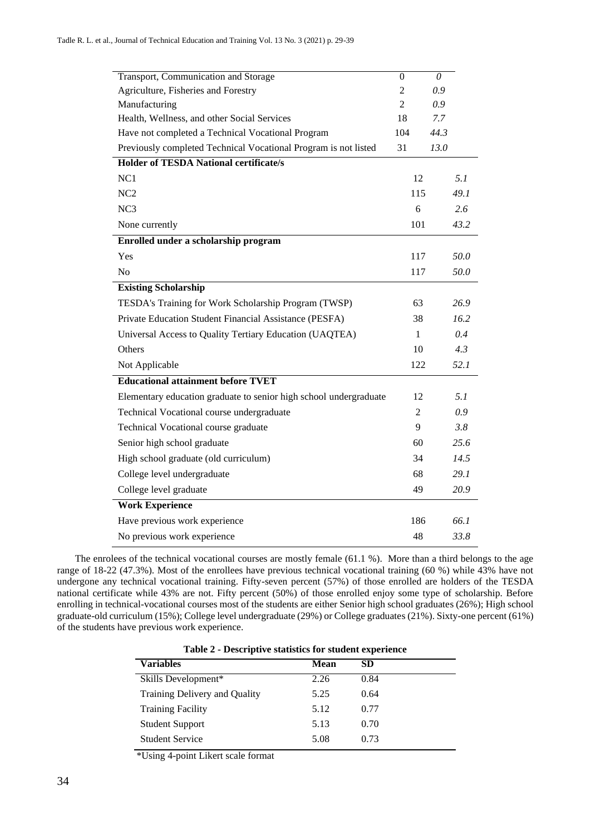| Transport, Communication and Storage                              | $\overline{0}$ | 0    |
|-------------------------------------------------------------------|----------------|------|
| Agriculture, Fisheries and Forestry                               | $\overline{2}$ | 0.9  |
| Manufacturing                                                     | $\overline{2}$ | 0.9  |
| Health, Wellness, and other Social Services                       | 18             | 7.7  |
| Have not completed a Technical Vocational Program                 | 104            | 44.3 |
| Previously completed Technical Vocational Program is not listed   | 31             | 13.0 |
| <b>Holder of TESDA National certificate/s</b>                     |                |      |
| NC1                                                               | 12             | 5.1  |
| NC <sub>2</sub>                                                   | 115            | 49.1 |
| NC3                                                               | 6              | 2.6  |
| None currently                                                    | 101            | 43.2 |
| Enrolled under a scholarship program                              |                |      |
| Yes                                                               | 117            | 50.0 |
| N <sub>o</sub>                                                    | 117            | 50.0 |
| <b>Existing Scholarship</b>                                       |                |      |
| TESDA's Training for Work Scholarship Program (TWSP)              | 63             | 26.9 |
| Private Education Student Financial Assistance (PESFA)            | 38             | 16.2 |
| Universal Access to Quality Tertiary Education (UAQTEA)           | 1              | 0.4  |
| Others                                                            | 10             | 4.3  |
| Not Applicable                                                    | 122            | 52.1 |
| <b>Educational attainment before TVET</b>                         |                |      |
| Elementary education graduate to senior high school undergraduate | 12             | 5.1  |
| Technical Vocational course undergraduate                         | $\overline{2}$ | 0.9  |
| Technical Vocational course graduate                              | 9              | 3.8  |
| Senior high school graduate                                       | 60             | 25.6 |
| High school graduate (old curriculum)                             | 34             | 14.5 |
| College level undergraduate                                       | 68             | 29.1 |
| College level graduate                                            | 49             | 20.9 |
| <b>Work Experience</b>                                            |                |      |
| Have previous work experience                                     | 186            | 66.1 |
| No previous work experience                                       | 48             | 33.8 |

The enrolees of the technical vocational courses are mostly female (61.1 %). More than a third belongs to the age range of 18-22 (47.3%). Most of the enrollees have previous technical vocational training (60 %) while 43% have not undergone any technical vocational training. Fifty-seven percent (57%) of those enrolled are holders of the TESDA national certificate while 43% are not. Fifty percent (50%) of those enrolled enjoy some type of scholarship. Before enrolling in technical-vocational courses most of the students are either Senior high school graduates (26%); High school graduate-old curriculum (15%); College level undergraduate (29%) or College graduates (21%). Sixty-one percent (61%) of the students have previous work experience.

| Table 2 - Descriptive statistics for student experience |             |      |  |  |  |  |
|---------------------------------------------------------|-------------|------|--|--|--|--|
| <b>Variables</b>                                        | <b>Mean</b> | SD   |  |  |  |  |
| Skills Development*                                     | 2.26        | 0.84 |  |  |  |  |
| Training Delivery and Quality                           | 5.25        | 0.64 |  |  |  |  |
| <b>Training Facility</b>                                | 5.12        | 0.77 |  |  |  |  |
| <b>Student Support</b>                                  | 5.13        | 0.70 |  |  |  |  |
| <b>Student Service</b>                                  | 5.08        | 0.73 |  |  |  |  |
|                                                         |             |      |  |  |  |  |

| Table 2 - Descriptive statistics for student experience |  |  |  |
|---------------------------------------------------------|--|--|--|
|---------------------------------------------------------|--|--|--|

\*Using 4-point Likert scale format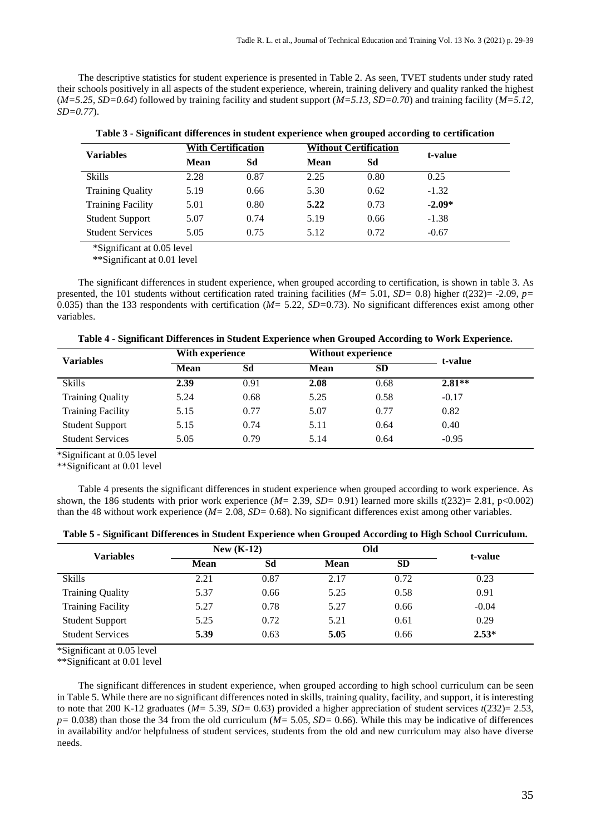The descriptive statistics for student experience is presented in Table 2. As seen, TVET students under study rated their schools positively in all aspects of the student experience, wherein, training delivery and quality ranked the highest (*M=5.25, SD=0.64*) followed by training facility and student support (*M=5.13, SD=0.70*) and training facility (*M=5.12, SD=0.77*).

**Table 3 - Significant differences in student experience when grouped according to certification**

|                          |             | <b>With Certification</b> |      | <b>Without Certification</b> |          |
|--------------------------|-------------|---------------------------|------|------------------------------|----------|
| <b>Variables</b>         | <b>Mean</b> | Sd                        | Mean | Sd                           | t-value  |
| <b>Skills</b>            | 2.28        | 0.87                      | 2.25 | 0.80                         | 0.25     |
| <b>Training Quality</b>  | 5.19        | 0.66                      | 5.30 | 0.62                         | $-1.32$  |
| <b>Training Facility</b> | 5.01        | 0.80                      | 5.22 | 0.73                         | $-2.09*$ |
| <b>Student Support</b>   | 5.07        | 0.74                      | 5.19 | 0.66                         | $-1.38$  |
| <b>Student Services</b>  | 5.05        | 0.75                      | 5.12 | 0.72                         | $-0.67$  |

\*Significant at 0.05 level

\*\*Significant at 0.01 level

The significant differences in student experience, when grouped according to certification, is shown in table 3. As presented, the 101 students without certification rated training facilities (*M=* 5.01, *SD=* 0.8) higher *t*(232)= -2.09, *p=* 0.035) than the 133 respondents with certification (*M=* 5.22, *SD=*0.73). No significant differences exist among other variables.

|  |  |  |  |  | Table 4 - Significant Differences in Student Experience when Grouped According to Work Experience |  |  |  |  |
|--|--|--|--|--|---------------------------------------------------------------------------------------------------|--|--|--|--|
|--|--|--|--|--|---------------------------------------------------------------------------------------------------|--|--|--|--|

| <b>Variables</b>         |             | With experience |             | Without experience |          | t-value |
|--------------------------|-------------|-----------------|-------------|--------------------|----------|---------|
|                          | <b>Mean</b> | Sd              | <b>Mean</b> | SD                 |          |         |
| <b>Skills</b>            | 2.39        | 0.91            | 2.08        | 0.68               | $2.81**$ |         |
| <b>Training Quality</b>  | 5.24        | 0.68            | 5.25        | 0.58               | $-0.17$  |         |
| <b>Training Facility</b> | 5.15        | 0.77            | 5.07        | 0.77               | 0.82     |         |
| <b>Student Support</b>   | 5.15        | 0.74            | 5.11        | 0.64               | 0.40     |         |
| <b>Student Services</b>  | 5.05        | 0.79            | 5.14        | 0.64               | $-0.95$  |         |

\*Significant at 0.05 level

\*\*Significant at 0.01 level

Table 4 presents the significant differences in student experience when grouped according to work experience. As shown, the 186 students with prior work experience (*M=* 2.39, *SD=* 0.91) learned more skills *t*(232)= 2.81, p<0.002) than the 48 without work experience (*M=* 2.08, *SD=* 0.68). No significant differences exist among other variables.

| Table 5 - Significant Differences in Student Experience when Grouped According to Filgh School Curriculum. |  |  |
|------------------------------------------------------------------------------------------------------------|--|--|
|                                                                                                            |  |  |

**Table 5 - Significant Differences in Student Experience when Grouped According to High School Curriculum.**

| <b>Variables</b>         | New $(K-12)$ |      | Old  |           | t-value |  |
|--------------------------|--------------|------|------|-----------|---------|--|
|                          | <b>Mean</b>  | Sd   | Mean | <b>SD</b> |         |  |
| <b>Skills</b>            | 2.21         | 0.87 | 2.17 | 0.72      | 0.23    |  |
| <b>Training Quality</b>  | 5.37         | 0.66 | 5.25 | 0.58      | 0.91    |  |
| <b>Training Facility</b> | 5.27         | 0.78 | 5.27 | 0.66      | $-0.04$ |  |
| <b>Student Support</b>   | 5.25         | 0.72 | 5.21 | 0.61      | 0.29    |  |
| <b>Student Services</b>  | 5.39         | 0.63 | 5.05 | 0.66      | $2.53*$ |  |

\*Significant at 0.05 level

\*\*Significant at 0.01 level

The significant differences in student experience, when grouped according to high school curriculum can be seen in Table 5. While there are no significant differences noted in skills, training quality, facility, and support, it is interesting to note that 200 K-12 graduates ( $M=5.39$ ,  $SD=0.63$ ) provided a higher appreciation of student services  $t(232)=2.53$ , *p=* 0.038) than those the 34 from the old curriculum (*M=* 5.05, *SD=* 0.66). While this may be indicative of differences in availability and/or helpfulness of student services, students from the old and new curriculum may also have diverse needs.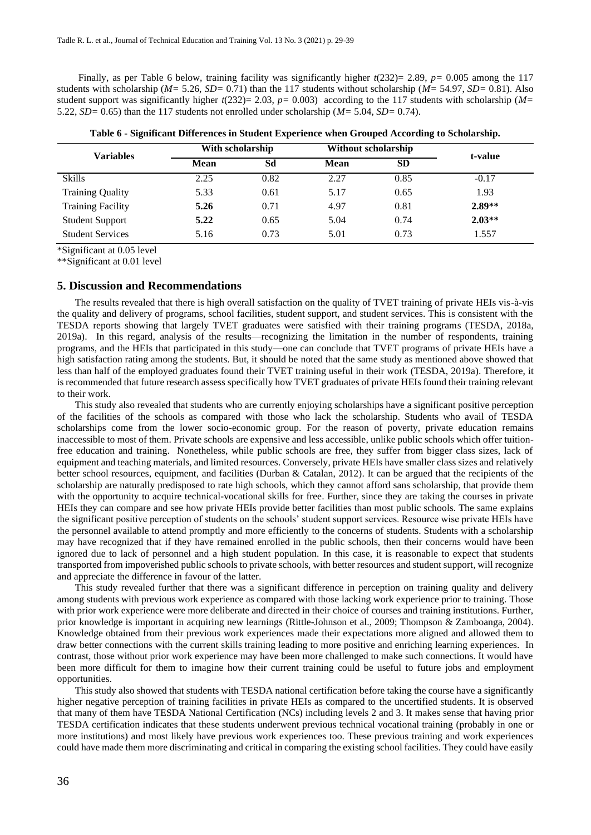Finally, as per Table 6 below, training facility was significantly higher  $t(232)=2.89$ ,  $p=0.005$  among the 117 students with scholarship (*M=* 5.26, *SD=* 0.71) than the 117 students without scholarship (*M=* 54.97, *SD=* 0.81). Also student support was significantly higher  $t(232)= 2.03$ ,  $p=0.003$ ) according to the 117 students with scholarship ( $M=$ 5.22, *SD=* 0.65) than the 117 students not enrolled under scholarship (*M=* 5.04, *SD=* 0.74).

| <b>Variables</b>         | With scholarship |      | <b>Without scholarship</b> | t-value   |          |
|--------------------------|------------------|------|----------------------------|-----------|----------|
|                          | <b>Mean</b>      | Sd   | <b>Mean</b>                | <b>SD</b> |          |
| <b>Skills</b>            | 2.25             | 0.82 | 2.27                       | 0.85      | $-0.17$  |
| <b>Training Quality</b>  | 5.33             | 0.61 | 5.17                       | 0.65      | 1.93     |
| <b>Training Facility</b> | 5.26             | 0.71 | 4.97                       | 0.81      | $2.89**$ |
| <b>Student Support</b>   | 5.22             | 0.65 | 5.04                       | 0.74      | $2.03**$ |
| <b>Student Services</b>  | 5.16             | 0.73 | 5.01                       | 0.73      | 1.557    |

**Table 6 - Significant Differences in Student Experience when Grouped According to Scholarship.**

\*Significant at 0.05 level

\*\*Significant at 0.01 level

## **5. Discussion and Recommendations**

The results revealed that there is high overall satisfaction on the quality of TVET training of private HEIs vis-à-vis the quality and delivery of programs, school facilities, student support, and student services. This is consistent with the TESDA reports showing that largely TVET graduates were satisfied with their training programs (TESDA, 2018a, 2019a). In this regard, analysis of the results—recognizing the limitation in the number of respondents, training programs, and the HEIs that participated in this study—one can conclude that TVET programs of private HEIs have a high satisfaction rating among the students. But, it should be noted that the same study as mentioned above showed that less than half of the employed graduates found their TVET training useful in their work (TESDA, 2019a). Therefore, it is recommended that future research assess specifically how TVET graduates of private HEIs found their training relevant to their work.

This study also revealed that students who are currently enjoying scholarships have a significant positive perception of the facilities of the schools as compared with those who lack the scholarship. Students who avail of TESDA scholarships come from the lower socio-economic group. For the reason of poverty, private education remains inaccessible to most of them. Private schools are expensive and less accessible, unlike public schools which offer tuitionfree education and training. Nonetheless, while public schools are free, they suffer from bigger class sizes, lack of equipment and teaching materials, and limited resources. Conversely, private HEIs have smaller class sizes and relatively better school resources, equipment, and facilities (Durban & Catalan, 2012). It can be argued that the recipients of the scholarship are naturally predisposed to rate high schools, which they cannot afford sans scholarship, that provide them with the opportunity to acquire technical-vocational skills for free. Further, since they are taking the courses in private HEIs they can compare and see how private HEIs provide better facilities than most public schools. The same explains the significant positive perception of students on the schools' student support services. Resource wise private HEIs have the personnel available to attend promptly and more efficiently to the concerns of students. Students with a scholarship may have recognized that if they have remained enrolled in the public schools, then their concerns would have been ignored due to lack of personnel and a high student population. In this case, it is reasonable to expect that students transported from impoverished public schools to private schools, with better resources and student support, will recognize and appreciate the difference in favour of the latter.

This study revealed further that there was a significant difference in perception on training quality and delivery among students with previous work experience as compared with those lacking work experience prior to training. Those with prior work experience were more deliberate and directed in their choice of courses and training institutions. Further, prior knowledge is important in acquiring new learnings (Rittle-Johnson et al., 2009; Thompson & Zamboanga, 2004). Knowledge obtained from their previous work experiences made their expectations more aligned and allowed them to draw better connections with the current skills training leading to more positive and enriching learning experiences. In contrast, those without prior work experience may have been more challenged to make such connections. It would have been more difficult for them to imagine how their current training could be useful to future jobs and employment opportunities.

This study also showed that students with TESDA national certification before taking the course have a significantly higher negative perception of training facilities in private HEIs as compared to the uncertified students. It is observed that many of them have TESDA National Certification (NCs) including levels 2 and 3. It makes sense that having prior TESDA certification indicates that these students underwent previous technical vocational training (probably in one or more institutions) and most likely have previous work experiences too. These previous training and work experiences could have made them more discriminating and critical in comparing the existing school facilities. They could have easily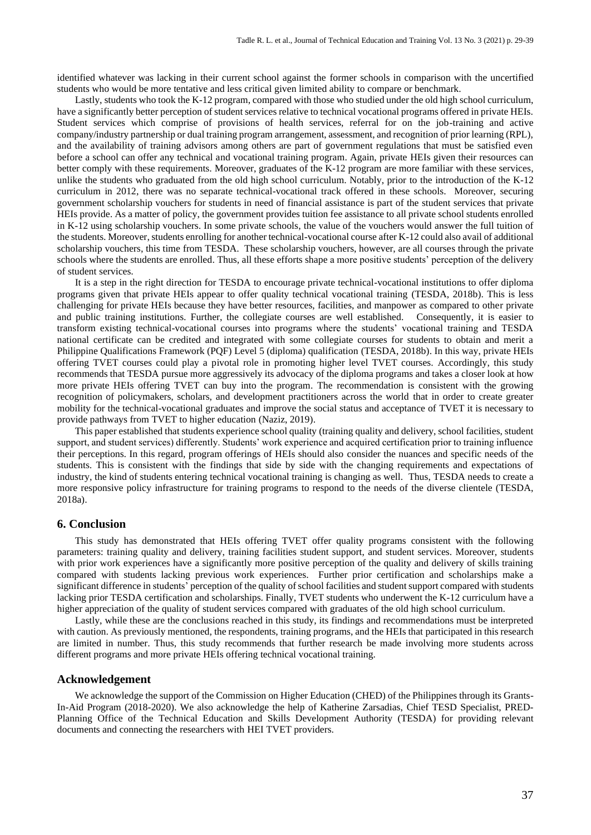identified whatever was lacking in their current school against the former schools in comparison with the uncertified students who would be more tentative and less critical given limited ability to compare or benchmark.

Lastly, students who took the K-12 program, compared with those who studied under the old high school curriculum, have a significantly better perception of student services relative to technical vocational programs offered in private HEIs. Student services which comprise of provisions of health services, referral for on the job-training and active company/industry partnership or dual training program arrangement, assessment, and recognition of prior learning (RPL), and the availability of training advisors among others are part of government regulations that must be satisfied even before a school can offer any technical and vocational training program. Again, private HEIs given their resources can better comply with these requirements. Moreover, graduates of the K-12 program are more familiar with these services, unlike the students who graduated from the old high school curriculum. Notably, prior to the introduction of the K-12 curriculum in 2012, there was no separate technical-vocational track offered in these schools. Moreover, securing government scholarship vouchers for students in need of financial assistance is part of the student services that private HEIs provide. As a matter of policy, the government provides tuition fee assistance to all private school students enrolled in K-12 using scholarship vouchers. In some private schools, the value of the vouchers would answer the full tuition of the students. Moreover, students enrolling for another technical-vocational course after K-12 could also avail of additional scholarship vouchers, this time from TESDA. These scholarship vouchers, however, are all courses through the private schools where the students are enrolled. Thus, all these efforts shape a more positive students' perception of the delivery of student services.

It is a step in the right direction for TESDA to encourage private technical-vocational institutions to offer diploma programs given that private HEIs appear to offer quality technical vocational training (TESDA, 2018b). This is less challenging for private HEIs because they have better resources, facilities, and manpower as compared to other private and public training institutions. Further, the collegiate courses are well established. Consequently, it is easier to transform existing technical-vocational courses into programs where the students' vocational training and TESDA national certificate can be credited and integrated with some collegiate courses for students to obtain and merit a Philippine Qualifications Framework (PQF) Level 5 (diploma) qualification (TESDA, 2018b). In this way, private HEIs offering TVET courses could play a pivotal role in promoting higher level TVET courses. Accordingly, this study recommends that TESDA pursue more aggressively its advocacy of the diploma programs and takes a closer look at how more private HEIs offering TVET can buy into the program. The recommendation is consistent with the growing recognition of policymakers, scholars, and development practitioners across the world that in order to create greater mobility for the technical-vocational graduates and improve the social status and acceptance of TVET it is necessary to provide pathways from TVET to higher education (Naziz, 2019).

This paper established that students experience school quality (training quality and delivery, school facilities, student support, and student services) differently. Students' work experience and acquired certification prior to training influence their perceptions. In this regard, program offerings of HEIs should also consider the nuances and specific needs of the students. This is consistent with the findings that side by side with the changing requirements and expectations of industry, the kind of students entering technical vocational training is changing as well. Thus, TESDA needs to create a more responsive policy infrastructure for training programs to respond to the needs of the diverse clientele (TESDA, 2018a).

### **6. Conclusion**

This study has demonstrated that HEIs offering TVET offer quality programs consistent with the following parameters: training quality and delivery, training facilities student support, and student services. Moreover, students with prior work experiences have a significantly more positive perception of the quality and delivery of skills training compared with students lacking previous work experiences. Further prior certification and scholarships make a significant difference in students' perception of the quality of school facilities and student support compared with students lacking prior TESDA certification and scholarships. Finally, TVET students who underwent the K-12 curriculum have a higher appreciation of the quality of student services compared with graduates of the old high school curriculum.

Lastly, while these are the conclusions reached in this study, its findings and recommendations must be interpreted with caution. As previously mentioned, the respondents, training programs, and the HEIs that participated in this research are limited in number. Thus, this study recommends that further research be made involving more students across different programs and more private HEIs offering technical vocational training.

## **Acknowledgement**

We acknowledge the support of the Commission on Higher Education (CHED) of the Philippines through its Grants-In-Aid Program (2018-2020). We also acknowledge the help of Katherine Zarsadias, Chief TESD Specialist, PRED-Planning Office of the Technical Education and Skills Development Authority (TESDA) for providing relevant documents and connecting the researchers with HEI TVET providers.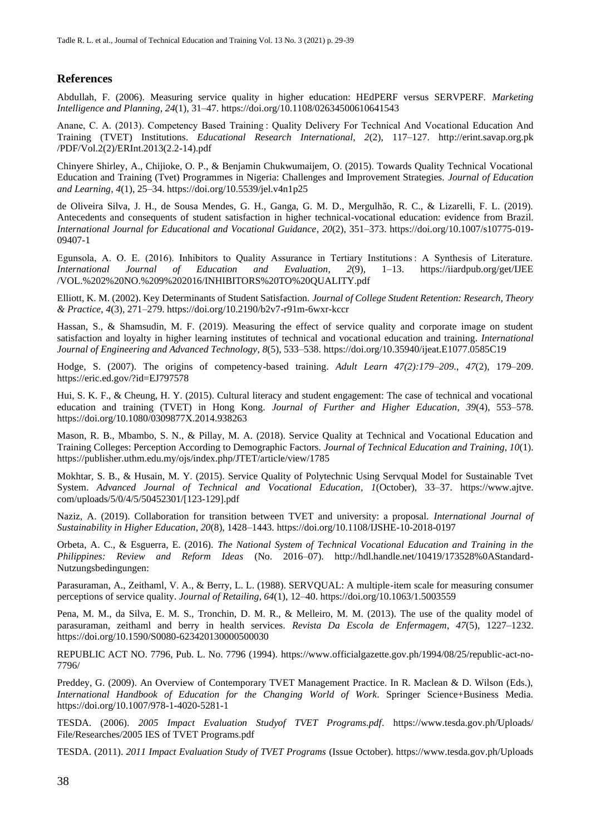# **References**

Abdullah, F. (2006). Measuring service quality in higher education: HEdPERF versus SERVPERF. *Marketing Intelligence and Planning*, *24*(1), 31–47. https://doi.org/10.1108/02634500610641543

Anane, C. A. (2013). Competency Based Training : Quality Delivery For Technical And Vocational Education And Training (TVET) Institutions. *Educational Research International*, *2*(2), 117–127. http://erint.savap.org.pk /PDF/Vol.2(2)/ERInt.2013(2.2-14).pdf

Chinyere Shirley, A., Chijioke, O. P., & Benjamin Chukwumaijem, O. (2015). Towards Quality Technical Vocational Education and Training (Tvet) Programmes in Nigeria: Challenges and Improvement Strategies. *Journal of Education and Learning*, *4*(1), 25–34. https://doi.org/10.5539/jel.v4n1p25

de Oliveira Silva, J. H., de Sousa Mendes, G. H., Ganga, G. M. D., Mergulhão, R. C., & Lizarelli, F. L. (2019). Antecedents and consequents of student satisfaction in higher technical-vocational education: evidence from Brazil. *International Journal for Educational and Vocational Guidance*, *20*(2), 351–373. https://doi.org/10.1007/s10775-019- 09407-1

Egunsola, A. O. E. (2016). Inhibitors to Quality Assurance in Tertiary Institutions : A Synthesis of Literature. *International Journal of Education and Evaluation*, *2*(9), 1–13. https://iiardpub.org/get/IJEE /VOL.%202%20NO.%209%202016/INHIBITORS%20TO%20QUALITY.pdf

Elliott, K. M. (2002). Key Determinants of Student Satisfaction. *Journal of College Student Retention: Research, Theory & Practice*, *4*(3), 271–279. https://doi.org/10.2190/b2v7-r91m-6wxr-kccr

Hassan, S., & Shamsudin, M. F. (2019). Measuring the effect of service quality and corporate image on student satisfaction and loyalty in higher learning institutes of technical and vocational education and training. *International Journal of Engineering and Advanced Technology*, *8*(5), 533–538. https://doi.org/10.35940/ijeat.E1077.0585C19

Hodge, S. (2007). The origins of competency-based training. *Adult Learn 47(2):179–209.*, *47*(2), 179–209. https://eric.ed.gov/?id=EJ797578

Hui, S. K. F., & Cheung, H. Y. (2015). Cultural literacy and student engagement: The case of technical and vocational education and training (TVET) in Hong Kong. *Journal of Further and Higher Education*, *39*(4), 553–578. https://doi.org/10.1080/0309877X.2014.938263

Mason, R. B., Mbambo, S. N., & Pillay, M. A. (2018). Service Quality at Technical and Vocational Education and Training Colleges: Perception According to Demographic Factors. *Journal of Technical Education and Training*, *10*(1). https://publisher.uthm.edu.my/ojs/index.php/JTET/article/view/1785

Mokhtar, S. B., & Husain, M. Y. (2015). Service Quality of Polytechnic Using Servqual Model for Sustainable Tvet System. *Advanced Journal of Technical and Vocational Education*, *1*(October), 33–37. https://www.ajtve. com/uploads/5/0/4/5/50452301/[123-129].pdf

Naziz, A. (2019). Collaboration for transition between TVET and university: a proposal. *International Journal of Sustainability in Higher Education*, *20*(8), 1428–1443. https://doi.org/10.1108/IJSHE-10-2018-0197

Orbeta, A. C., & Esguerra, E. (2016). *The National System of Technical Vocational Education and Training in the Philippines: Review and Reform Ideas* (No. 2016–07). http://hdl.handle.net/10419/173528%0AStandard-Nutzungsbedingungen:

Parasuraman, A., Zeithaml, V. A., & Berry, L. L. (1988). SERVQUAL: A multiple-item scale for measuring consumer perceptions of service quality. *Journal of Retailing*, *64*(1), 12–40. https://doi.org/10.1063/1.5003559

Pena, M. M., da Silva, E. M. S., Tronchin, D. M. R., & Melleiro, M. M. (2013). The use of the quality model of parasuraman, zeithaml and berry in health services. *Revista Da Escola de Enfermagem*, *47*(5), 1227–1232. https://doi.org/10.1590/S0080-623420130000500030

REPUBLIC ACT NO. 7796, Pub. L. No. 7796 (1994). https://www.officialgazette.gov.ph/1994/08/25/republic-act-no-7796/

Preddey, G. (2009). An Overview of Contemporary TVET Management Practice. In R. Maclean & D. Wilson (Eds.), *International Handbook of Education for the Changing World of Work*. Springer Science+Business Media. https://doi.org/10.1007/978-1-4020-5281-1

TESDA. (2006). *2005 Impact Evaluation Studyof TVET Programs.pdf*. https://www.tesda.gov.ph/Uploads/ File/Researches/2005 IES of TVET Programs.pdf

TESDA. (2011). *2011 Impact Evaluation Study of TVET Programs* (Issue October). https://www.tesda.gov.ph/Uploads